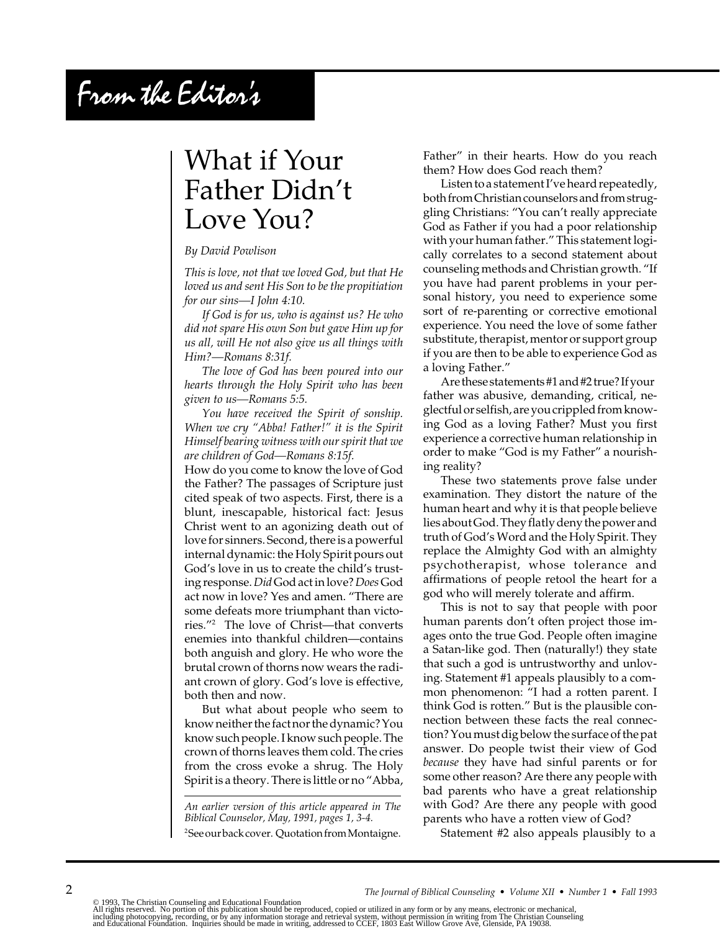# From the Editor's

# What if Your Father Didn't Love You?

#### *By David Powlison*

*This is love, not that we loved God, but that He loved us and sent His Son to be the propitiation for our sins—I John 4:10.*

*If God is for us, who is against us? He who did not spare His own Son but gave Him up for us all, will He not also give us all things with Him?—Romans 8:31f.*

*The love of God has been poured into our hearts through the Holy Spirit who has been given to us—Romans 5:5.*

*You have received the Spirit of sonship. When we cry "Abba! Father!" it is the Spirit Himself bearing witness with our spirit that we are children of God—Romans 8:15f.*

How do you come to know the love of God the Father? The passages of Scripture just cited speak of two aspects. First, there is a blunt, inescapable, historical fact: Jesus Christ went to an agonizing death out of love for sinners. Second, there is a powerful internal dynamic: the Holy Spirit pours out God's love in us to create the child's trusting response. *Did* God act in love? *Does* God act now in love? Yes and amen. "There are some defeats more triumphant than victories."2 The love of Christ—that converts enemies into thankful children—contains both anguish and glory. He who wore the brutal crown of thorns now wears the radiant crown of glory. God's love is effective, both then and now.

But what about people who seem to know neither the fact nor the dynamic? You know such people. I know such people. The crown of thorns leaves them cold. The cries from the cross evoke a shrug. The Holy Spirit is a theory. There is little or no "Abba,

*An earlier version of this article appeared in The Biblical Counselor, May, 1991, pages 1, 3-4.* 2 See our back cover. Quotation from Montaigne. Father" in their hearts. How do you reach them? How does God reach them?

Listen to a statement I've heard repeatedly, both from Christian counselors and from struggling Christians: "You can't really appreciate God as Father if you had a poor relationship with your human father." This statement logically correlates to a second statement about counseling methods and Christian growth. "If you have had parent problems in your personal history, you need to experience some sort of re-parenting or corrective emotional experience. You need the love of some father substitute, therapist, mentor or support group if you are then to be able to experience God as a loving Father."

Are these statements #1 and #2 true? If your father was abusive, demanding, critical, neglectful or selfish, are you crippled from knowing God as a loving Father? Must you first experience a corrective human relationship in order to make "God is my Father" a nourishing reality?

These two statements prove false under examination. They distort the nature of the human heart and why it is that people believe lies about God. They flatly deny the power and truth of God's Word and the Holy Spirit. They replace the Almighty God with an almighty psychotherapist, whose tolerance and affirmations of people retool the heart for a god who will merely tolerate and affirm.

This is not to say that people with poor human parents don't often project those images onto the true God. People often imagine a Satan-like god. Then (naturally!) they state that such a god is untrustworthy and unloving. Statement #1 appeals plausibly to a common phenomenon: "I had a rotten parent. I think God is rotten." But is the plausible connection between these facts the real connection? You must dig below the surface of the pat answer. Do people twist their view of God *because* they have had sinful parents or for some other reason? Are there any people with bad parents who have a great relationship with God? Are there any people with good parents who have a rotten view of God?

Statement #2 also appeals plausibly to a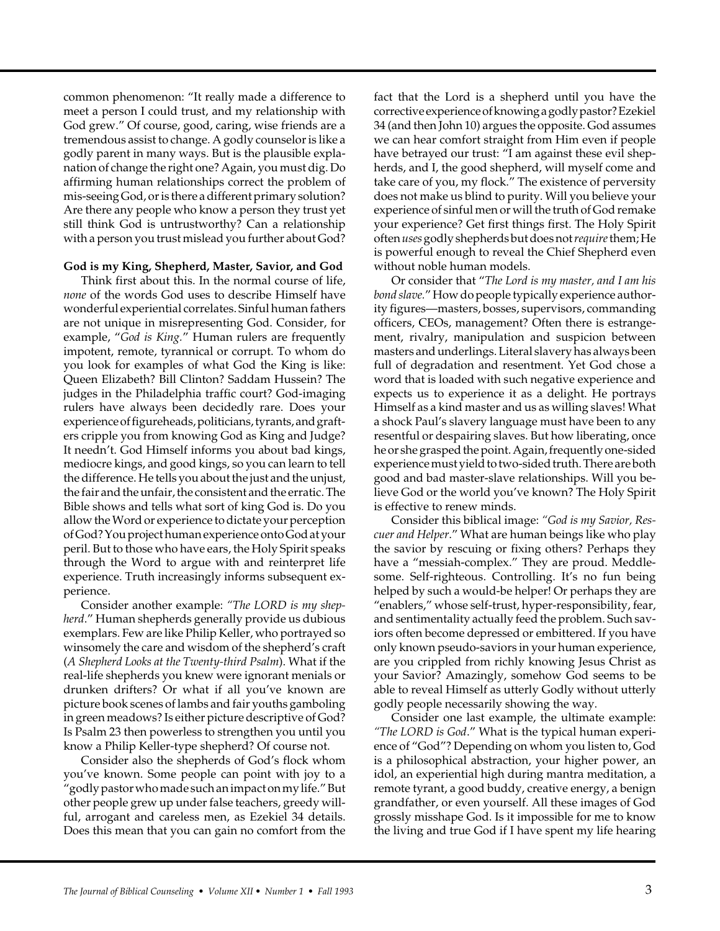common phenomenon: "It really made a difference to meet a person I could trust, and my relationship with God grew." Of course, good, caring, wise friends are a tremendous assist to change. A godly counselor is like a godly parent in many ways. But is the plausible explanation of change the right one? Again, you must dig. Do affirming human relationships correct the problem of mis-seeing God, or is there a different primary solution? Are there any people who know a person they trust yet still think God is untrustworthy? Can a relationship with a person you trust mislead you further about God?

#### **God is my King, Shepherd, Master, Savior, and God**

Think first about this. In the normal course of life, *none* of the words God uses to describe Himself have wonderful experiential correlates. Sinful human fathers are not unique in misrepresenting God. Consider, for example, "*God is King.*" Human rulers are frequently impotent, remote, tyrannical or corrupt. To whom do you look for examples of what God the King is like: Queen Elizabeth? Bill Clinton? Saddam Hussein? The judges in the Philadelphia traffic court? God-imaging rulers have always been decidedly rare. Does your experience of figureheads, politicians, tyrants, and grafters cripple you from knowing God as King and Judge? It needn't. God Himself informs you about bad kings, mediocre kings, and good kings, so you can learn to tell the difference. He tells you about the just and the unjust, the fair and the unfair, the consistent and the erratic. The Bible shows and tells what sort of king God is. Do you allow the Word or experience to dictate your perception of God? You project human experience onto God at your peril. But to those who have ears, the Holy Spirit speaks through the Word to argue with and reinterpret life experience. Truth increasingly informs subsequent experience.

Consider another example: *"The LORD is my shepherd*." Human shepherds generally provide us dubious exemplars. Few are like Philip Keller, who portrayed so winsomely the care and wisdom of the shepherd's craft (*A Shepherd Looks at the Twenty-third Psalm*). What if the real-life shepherds you knew were ignorant menials or drunken drifters? Or what if all you've known are picture book scenes of lambs and fair youths gamboling in green meadows? Is either picture descriptive of God? Is Psalm 23 then powerless to strengthen you until you know a Philip Keller-type shepherd? Of course not.

Consider also the shepherds of God's flock whom you've known. Some people can point with joy to a "godly pastor who made such an impact on my life." But other people grew up under false teachers, greedy willful, arrogant and careless men, as Ezekiel 34 details. Does this mean that you can gain no comfort from the

fact that the Lord is a shepherd until you have the corrective experience of knowing a godly pastor? Ezekiel 34 (and then John 10) argues the opposite. God assumes we can hear comfort straight from Him even if people have betrayed our trust: "I am against these evil shepherds, and I, the good shepherd, will myself come and take care of you, my flock." The existence of perversity does not make us blind to purity. Will you believe your experience of sinful men or will the truth of God remake your experience? Get first things first. The Holy Spirit often *uses* godly shepherds but does not *require* them; He is powerful enough to reveal the Chief Shepherd even without noble human models.

Or consider that "*The Lord is my master, and I am his bond slave.*" How do people typically experience authority figures—masters, bosses, supervisors, commanding officers, CEOs, management? Often there is estrangement, rivalry, manipulation and suspicion between masters and underlings. Literal slavery has always been full of degradation and resentment. Yet God chose a word that is loaded with such negative experience and expects us to experience it as a delight. He portrays Himself as a kind master and us as willing slaves! What a shock Paul's slavery language must have been to any resentful or despairing slaves. But how liberating, once he or she grasped the point. Again, frequently one-sided experience must yield to two-sided truth. There are both good and bad master-slave relationships. Will you believe God or the world you've known? The Holy Spirit is effective to renew minds.

Consider this biblical image: *"God is my Savior, Rescuer and Helper*." What are human beings like who play the savior by rescuing or fixing others? Perhaps they have a "messiah-complex." They are proud. Meddlesome. Self-righteous. Controlling. It's no fun being helped by such a would-be helper! Or perhaps they are "enablers," whose self-trust, hyper-responsibility, fear, and sentimentality actually feed the problem. Such saviors often become depressed or embittered. If you have only known pseudo-saviors in your human experience, are you crippled from richly knowing Jesus Christ as your Savior? Amazingly, somehow God seems to be able to reveal Himself as utterly Godly without utterly godly people necessarily showing the way.

Consider one last example, the ultimate example: *"The LORD is God*." What is the typical human experience of "God"? Depending on whom you listen to, God is a philosophical abstraction, your higher power, an idol, an experiential high during mantra meditation, a remote tyrant, a good buddy, creative energy, a benign grandfather, or even yourself. All these images of God grossly misshape God. Is it impossible for me to know the living and true God if I have spent my life hearing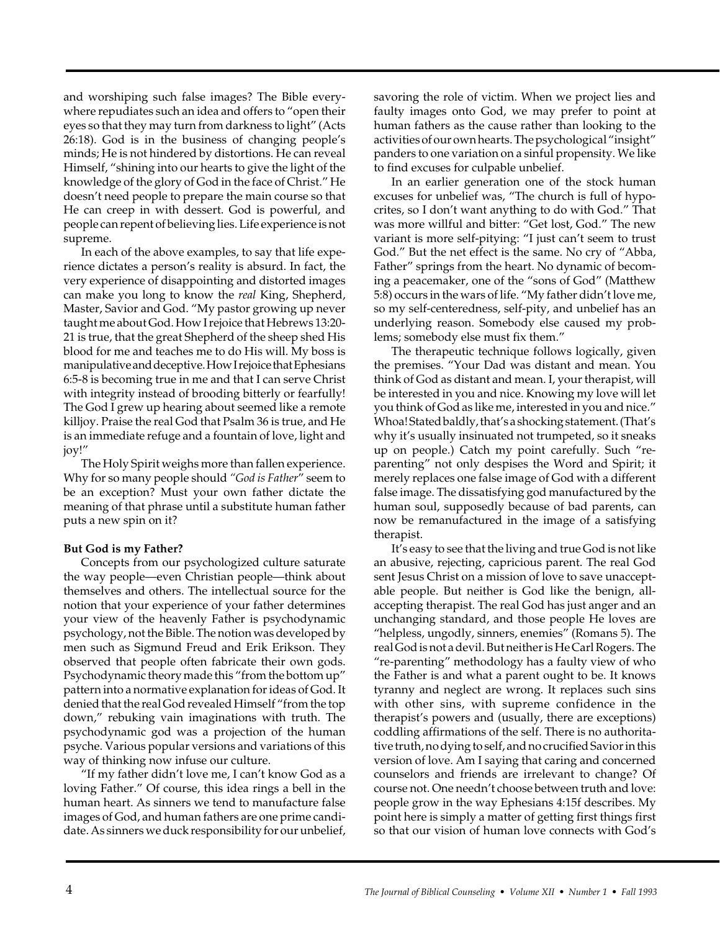and worshiping such false images? The Bible everywhere repudiates such an idea and offers to "open their eyes so that they may turn from darkness to light" (Acts 26:18). God is in the business of changing people's minds; He is not hindered by distortions. He can reveal Himself, "shining into our hearts to give the light of the knowledge of the glory of God in the face of Christ." He doesn't need people to prepare the main course so that He can creep in with dessert. God is powerful, and people can repent of believing lies. Life experience is not supreme.

In each of the above examples, to say that life experience dictates a person's reality is absurd. In fact, the very experience of disappointing and distorted images can make you long to know the *real* King, Shepherd, Master, Savior and God. "My pastor growing up never taught me about God. How I rejoice that Hebrews 13:20- 21 is true, that the great Shepherd of the sheep shed His blood for me and teaches me to do His will. My boss is manipulative and deceptive. How I rejoice that Ephesians 6:5-8 is becoming true in me and that I can serve Christ with integrity instead of brooding bitterly or fearfully! The God I grew up hearing about seemed like a remote killjoy. Praise the real God that Psalm 36 is true, and He is an immediate refuge and a fountain of love, light and joy!"

The Holy Spirit weighs more than fallen experience. Why for so many people should *"God is Father*" seem to be an exception? Must your own father dictate the meaning of that phrase until a substitute human father puts a new spin on it?

## **But God is my Father?**

Concepts from our psychologized culture saturate the way people—even Christian people—think about themselves and others. The intellectual source for the notion that your experience of your father determines your view of the heavenly Father is psychodynamic psychology, not the Bible. The notion was developed by men such as Sigmund Freud and Erik Erikson. They observed that people often fabricate their own gods. Psychodynamic theory made this "from the bottom up" pattern into a normative explanation for ideas of God. It denied that the real God revealed Himself "from the top down," rebuking vain imaginations with truth. The psychodynamic god was a projection of the human psyche. Various popular versions and variations of this way of thinking now infuse our culture.

"If my father didn't love me, I can't know God as a loving Father." Of course, this idea rings a bell in the human heart. As sinners we tend to manufacture false images of God, and human fathers are one prime candidate. As sinners we duck responsibility for our unbelief, savoring the role of victim. When we project lies and faulty images onto God, we may prefer to point at human fathers as the cause rather than looking to the activities of our own hearts. The psychological "insight" panders to one variation on a sinful propensity. We like to find excuses for culpable unbelief.

In an earlier generation one of the stock human excuses for unbelief was, "The church is full of hypocrites, so I don't want anything to do with God." That was more willful and bitter: "Get lost, God." The new variant is more self-pitying: "I just can't seem to trust God." But the net effect is the same. No cry of "Abba, Father" springs from the heart. No dynamic of becoming a peacemaker, one of the "sons of God" (Matthew 5:8) occurs in the wars of life. "My father didn't love me, so my self-centeredness, self-pity, and unbelief has an underlying reason. Somebody else caused my problems; somebody else must fix them."

The therapeutic technique follows logically, given the premises. "Your Dad was distant and mean. You think of God as distant and mean. I, your therapist, will be interested in you and nice. Knowing my love will let you think of God as like me, interested in you and nice." Whoa! Stated baldly, that's a shocking statement. (That's why it's usually insinuated not trumpeted, so it sneaks up on people.) Catch my point carefully. Such "reparenting" not only despises the Word and Spirit; it merely replaces one false image of God with a different false image. The dissatisfying god manufactured by the human soul, supposedly because of bad parents, can now be remanufactured in the image of a satisfying therapist.

It's easy to see that the living and true God is not like an abusive, rejecting, capricious parent. The real God sent Jesus Christ on a mission of love to save unacceptable people. But neither is God like the benign, allaccepting therapist. The real God has just anger and an unchanging standard, and those people He loves are "helpless, ungodly, sinners, enemies" (Romans 5). The real God is not a devil. But neither is He Carl Rogers. The "re-parenting" methodology has a faulty view of who the Father is and what a parent ought to be. It knows tyranny and neglect are wrong. It replaces such sins with other sins, with supreme confidence in the therapist's powers and (usually, there are exceptions) coddling affirmations of the self. There is no authoritative truth, no dying to self, and no crucified Savior in this version of love. Am I saying that caring and concerned counselors and friends are irrelevant to change? Of course not. One needn't choose between truth and love: people grow in the way Ephesians 4:15f describes. My point here is simply a matter of getting first things first so that our vision of human love connects with God's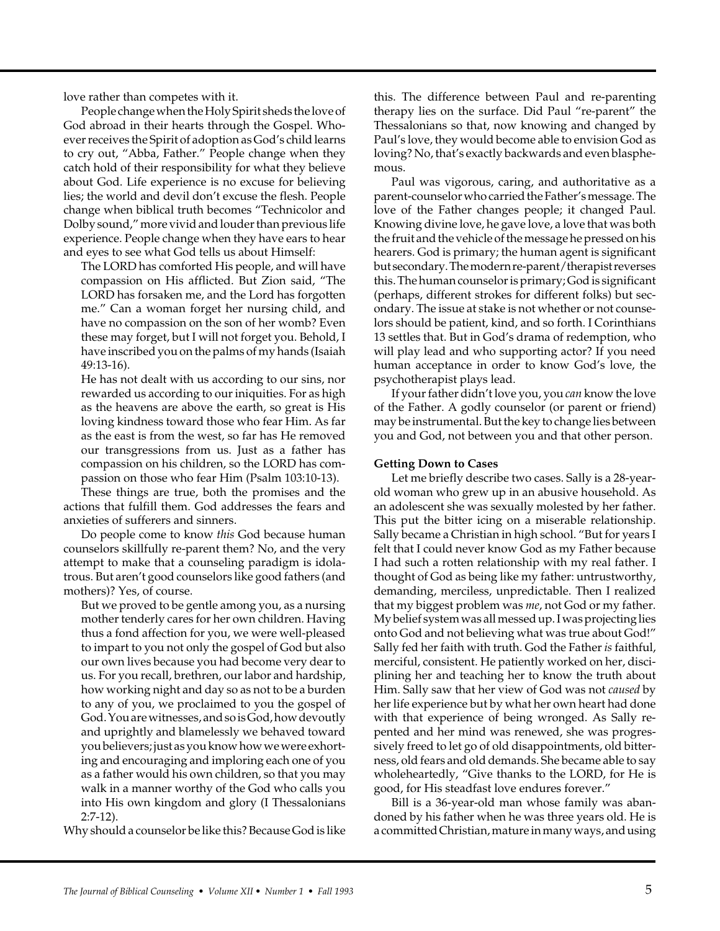love rather than competes with it.

People change when the Holy Spirit sheds the love of God abroad in their hearts through the Gospel. Whoever receives the Spirit of adoption as God's child learns to cry out, "Abba, Father." People change when they catch hold of their responsibility for what they believe about God. Life experience is no excuse for believing lies; the world and devil don't excuse the flesh. People change when biblical truth becomes "Technicolor and Dolby sound," more vivid and louder than previous life experience. People change when they have ears to hear and eyes to see what God tells us about Himself:

The LORD has comforted His people, and will have compassion on His afflicted. But Zion said, "The LORD has forsaken me, and the Lord has forgotten me." Can a woman forget her nursing child, and have no compassion on the son of her womb? Even these may forget, but I will not forget you. Behold, I have inscribed you on the palms of my hands (Isaiah 49:13-16).

He has not dealt with us according to our sins, nor rewarded us according to our iniquities. For as high as the heavens are above the earth, so great is His loving kindness toward those who fear Him. As far as the east is from the west, so far has He removed our transgressions from us. Just as a father has compassion on his children, so the LORD has compassion on those who fear Him (Psalm 103:10-13).

These things are true, both the promises and the actions that fulfill them. God addresses the fears and anxieties of sufferers and sinners.

Do people come to know *this* God because human counselors skillfully re-parent them? No, and the very attempt to make that a counseling paradigm is idolatrous. But aren't good counselors like good fathers (and mothers)? Yes, of course.

But we proved to be gentle among you, as a nursing mother tenderly cares for her own children. Having thus a fond affection for you, we were well-pleased to impart to you not only the gospel of God but also our own lives because you had become very dear to us. For you recall, brethren, our labor and hardship, how working night and day so as not to be a burden to any of you, we proclaimed to you the gospel of God. You are witnesses, and so is God, how devoutly and uprightly and blamelessly we behaved toward you believers; just as you know how we were exhorting and encouraging and imploring each one of you as a father would his own children, so that you may walk in a manner worthy of the God who calls you into His own kingdom and glory (I Thessalonians 2:7-12).

Why should a counselor be like this? Because God is like

this. The difference between Paul and re-parenting therapy lies on the surface. Did Paul "re-parent" the Thessalonians so that, now knowing and changed by Paul's love, they would become able to envision God as loving? No, that's exactly backwards and even blasphemous.

Paul was vigorous, caring, and authoritative as a parent-counselor who carried the Father's message. The love of the Father changes people; it changed Paul. Knowing divine love, he gave love, a love that was both the fruit and the vehicle of the message he pressed on his hearers. God is primary; the human agent is significant but secondary. The modern re-parent/therapist reverses this. The human counselor is primary; God is significant (perhaps, different strokes for different folks) but secondary. The issue at stake is not whether or not counselors should be patient, kind, and so forth. I Corinthians 13 settles that. But in God's drama of redemption, who will play lead and who supporting actor? If you need human acceptance in order to know God's love, the psychotherapist plays lead.

If your father didn't love you, you *can* know the love of the Father. A godly counselor (or parent or friend) may be instrumental. But the key to change lies between you and God, not between you and that other person.

## **Getting Down to Cases**

Let me briefly describe two cases. Sally is a 28-yearold woman who grew up in an abusive household. As an adolescent she was sexually molested by her father. This put the bitter icing on a miserable relationship. Sally became a Christian in high school. "But for years I felt that I could never know God as my Father because I had such a rotten relationship with my real father. I thought of God as being like my father: untrustworthy, demanding, merciless, unpredictable. Then I realized that my biggest problem was *me*, not God or my father. My belief system was all messed up. I was projecting lies onto God and not believing what was true about God!" Sally fed her faith with truth. God the Father *is* faithful, merciful, consistent. He patiently worked on her, disciplining her and teaching her to know the truth about Him. Sally saw that her view of God was not *caused* by her life experience but by what her own heart had done with that experience of being wronged. As Sally repented and her mind was renewed, she was progressively freed to let go of old disappointments, old bitterness, old fears and old demands. She became able to say wholeheartedly, "Give thanks to the LORD, for He is good, for His steadfast love endures forever."

Bill is a 36-year-old man whose family was abandoned by his father when he was three years old. He is a committed Christian, mature in many ways, and using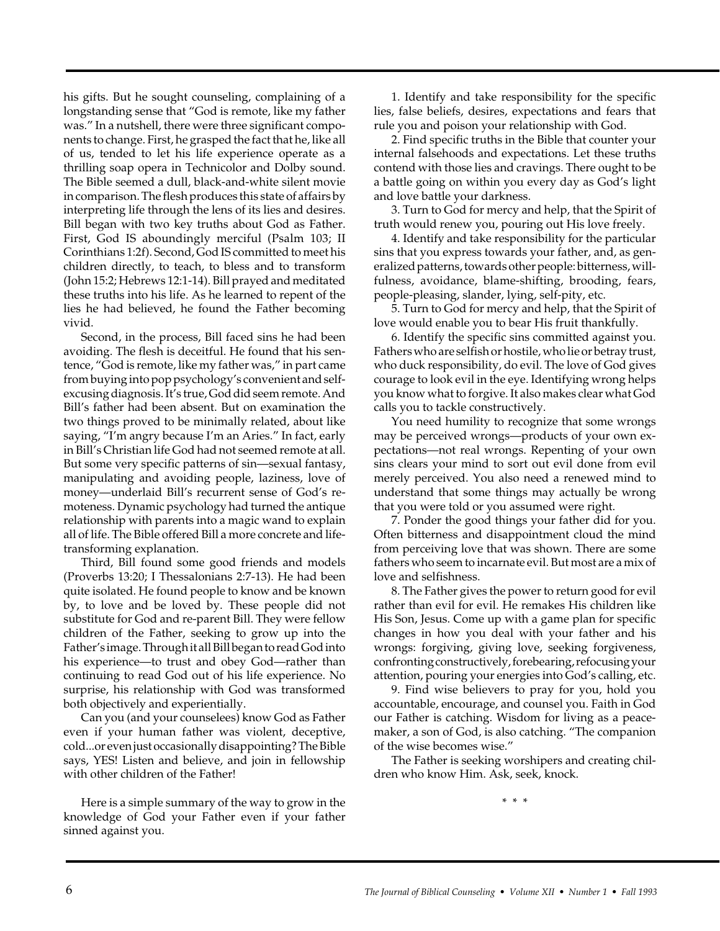his gifts. But he sought counseling, complaining of a longstanding sense that "God is remote, like my father was." In a nutshell, there were three significant components to change. First, he grasped the fact that he, like all of us, tended to let his life experience operate as a thrilling soap opera in Technicolor and Dolby sound. The Bible seemed a dull, black-and-white silent movie in comparison. The flesh produces this state of affairs by interpreting life through the lens of its lies and desires. Bill began with two key truths about God as Father. First, God IS aboundingly merciful (Psalm 103; II Corinthians 1:2f). Second, God IS committed to meet his children directly, to teach, to bless and to transform (John 15:2; Hebrews 12:1-14). Bill prayed and meditated these truths into his life. As he learned to repent of the lies he had believed, he found the Father becoming vivid.

Second, in the process, Bill faced sins he had been avoiding. The flesh is deceitful. He found that his sentence, "God is remote, like my father was," in part came from buying into pop psychology's convenient and selfexcusing diagnosis. It's true, God did seem remote. And Bill's father had been absent. But on examination the two things proved to be minimally related, about like saying, "I'm angry because I'm an Aries." In fact, early in Bill's Christian life God had not seemed remote at all. But some very specific patterns of sin—sexual fantasy, manipulating and avoiding people, laziness, love of money—underlaid Bill's recurrent sense of God's remoteness. Dynamic psychology had turned the antique relationship with parents into a magic wand to explain all of life. The Bible offered Bill a more concrete and lifetransforming explanation.

Third, Bill found some good friends and models (Proverbs 13:20; I Thessalonians 2:7-13). He had been quite isolated. He found people to know and be known by, to love and be loved by. These people did not substitute for God and re-parent Bill. They were fellow children of the Father, seeking to grow up into the Father's image. Through it all Bill began to read God into his experience—to trust and obey God—rather than continuing to read God out of his life experience. No surprise, his relationship with God was transformed both objectively and experientially.

Can you (and your counselees) know God as Father even if your human father was violent, deceptive, cold...or even just occasionally disappointing? The Bible says, YES! Listen and believe, and join in fellowship with other children of the Father!

Here is a simple summary of the way to grow in the knowledge of God your Father even if your father sinned against you.

1. Identify and take responsibility for the specific lies, false beliefs, desires, expectations and fears that rule you and poison your relationship with God.

2. Find specific truths in the Bible that counter your internal falsehoods and expectations. Let these truths contend with those lies and cravings. There ought to be a battle going on within you every day as God's light and love battle your darkness.

3. Turn to God for mercy and help, that the Spirit of truth would renew you, pouring out His love freely.

4. Identify and take responsibility for the particular sins that you express towards your father, and, as generalized patterns, towards other people: bitterness, willfulness, avoidance, blame-shifting, brooding, fears, people-pleasing, slander, lying, self-pity, etc.

5. Turn to God for mercy and help, that the Spirit of love would enable you to bear His fruit thankfully.

6. Identify the specific sins committed against you. Fathers who are selfish or hostile, who lie or betray trust, who duck responsibility, do evil. The love of God gives courage to look evil in the eye. Identifying wrong helps you know what to forgive. It also makes clear what God calls you to tackle constructively.

You need humility to recognize that some wrongs may be perceived wrongs—products of your own expectations—not real wrongs. Repenting of your own sins clears your mind to sort out evil done from evil merely perceived. You also need a renewed mind to understand that some things may actually be wrong that you were told or you assumed were right.

7. Ponder the good things your father did for you. Often bitterness and disappointment cloud the mind from perceiving love that was shown. There are some fathers who seem to incarnate evil. But most are a mix of love and selfishness.

8. The Father gives the power to return good for evil rather than evil for evil. He remakes His children like His Son, Jesus. Come up with a game plan for specific changes in how you deal with your father and his wrongs: forgiving, giving love, seeking forgiveness, confronting constructively, forebearing, refocusing your attention, pouring your energies into God's calling, etc.

9. Find wise believers to pray for you, hold you accountable, encourage, and counsel you. Faith in God our Father is catching. Wisdom for living as a peacemaker, a son of God, is also catching. "The companion of the wise becomes wise."

The Father is seeking worshipers and creating children who know Him. Ask, seek, knock.

\* \* \*